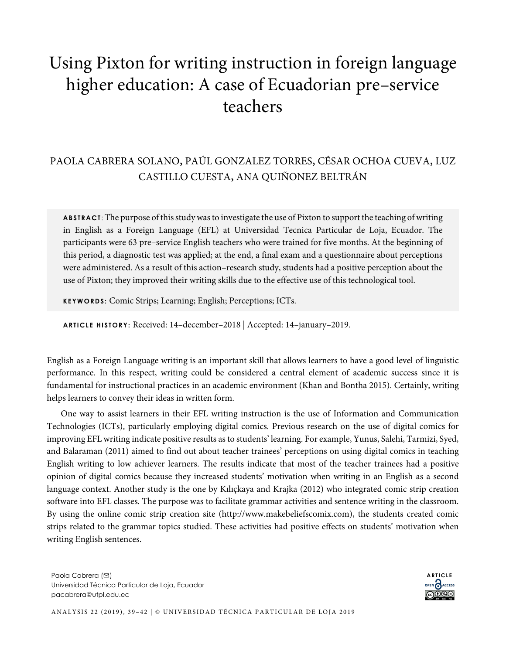## Using Pixton for writing instruction in foreign language higher education: A case of Ecuadorian pre–service teachers

## PAOLA CABRERA SOLANO, PAÚL GONZALEZ TORRES, CÉSAR OCHOA CUEVA, LUZ CASTILLO CUESTA, ANA QUIÑONEZ BELTRÁN

**ABSTRACT** : The purpose of this study was to investigate the use of Pixton to support the teaching of writing in English as a Foreign Language (EFL) at Universidad Tecnica Particular de Loja, Ecuador. The participants were 63 pre–service English teachers who were trained for five months. At the beginning of this period, a diagnostic test was applied; at the end, a final exam and a questionnaire about perceptions were administered. As a result of this action–research study, students had a positive perception about the use of Pixton; they improved their writing skills due to the effective use of this technological tool.

**KEYWORDS :** Comic Strips; Learning; English; Perceptions; ICTs.

**ARTICLE HISTORY:** Received: 14–december–2018 | Accepted: 14–january–2019.

English as a Foreign Language writing is an important skill that allows learners to have a good level of linguistic performance. In this respect, writing could be considered a central element of academic success since it is fundamental for instructional practices in an academic environment (Khan and Bontha 2015). Certainly, writing helps learners to convey their ideas in written form.

One way to assist learners in their EFL writing instruction is the use of Information and Communication Technologies (ICTs), particularly employing digital comics. Previous research on the use of digital comics for improving EFL writing indicate positive results as to students' learning. For example, Yunus, Salehi, Tarmizi, Syed, and Balaraman (2011) aimed to find out about teacher trainees' perceptions on using digital comics in teaching English writing to low achiever learners. The results indicate that most of the teacher trainees had a positive opinion of digital comics because they increased students' motivation when writing in an English as a second language context. Another study is the one by Kılıçkaya and Krajka (2012) who integrated comic strip creation software into EFL classes. The purpose was to facilitate grammar activities and sentence writing in the classroom. By using the online comic strip creation site (http://www.makebeliefscomix.com), the students created comic strips related to the grammar topics studied. These activities had positive effects on students' motivation when writing English sentences.

Paola Cabrera (**□**) Universidad Técnica Particular de Loja, Ecuador pacabrera@utpl.edu.ec

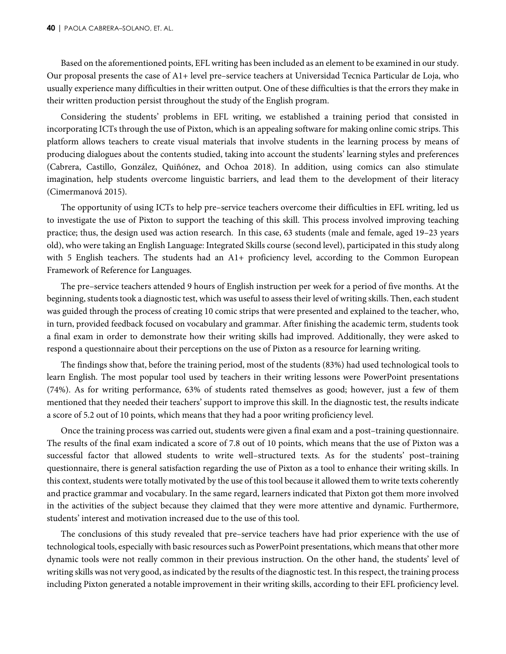Based on the aforementioned points, EFL writing has been included as an element to be examined in our study. Our proposal presents the case of A1+ level pre–service teachers at Universidad Tecnica Particular de Loja, who usually experience many difficulties in their written output. One of these difficulties is that the errors they make in their written production persist throughout the study of the English program.

Considering the students' problems in EFL writing, we established a training period that consisted in incorporating ICTs through the use of Pixton, which is an appealing software for making online comic strips. This platform allows teachers to create visual materials that involve students in the learning process by means of producing dialogues about the contents studied, taking into account the students' learning styles and preferences (Cabrera, Castillo, González, Quiñónez, and Ochoa 2018). In addition, using comics can also stimulate imagination, help students overcome linguistic barriers, and lead them to the development of their literacy (Cimermanová 2015).

The opportunity of using ICTs to help pre–service teachers overcome their difficulties in EFL writing, led us to investigate the use of Pixton to support the teaching of this skill. This process involved improving teaching practice; thus, the design used was action research. In this case, 63 students (male and female, aged 19–23 years old), who were taking an English Language: Integrated Skills course (second level), participated in this study along with 5 English teachers. The students had an A1+ proficiency level, according to the Common European Framework of Reference for Languages.

The pre–service teachers attended 9 hours of English instruction per week for a period of five months. At the beginning, students took a diagnostic test, which was useful to assess their level of writing skills. Then, each student was guided through the process of creating 10 comic strips that were presented and explained to the teacher, who, in turn, provided feedback focused on vocabulary and grammar. After finishing the academic term, students took a final exam in order to demonstrate how their writing skills had improved. Additionally, they were asked to respond a questionnaire about their perceptions on the use of Pixton as a resource for learning writing.

The findings show that, before the training period, most of the students (83%) had used technological tools to learn English. The most popular tool used by teachers in their writing lessons were PowerPoint presentations (74%). As for writing performance, 63% of students rated themselves as good; however, just a few of them mentioned that they needed their teachers' support to improve this skill. In the diagnostic test, the results indicate a score of 5.2 out of 10 points, which means that they had a poor writing proficiency level.

Once the training process was carried out, students were given a final exam and a post–training questionnaire. The results of the final exam indicated a score of 7.8 out of 10 points, which means that the use of Pixton was a successful factor that allowed students to write well–structured texts. As for the students' post–training questionnaire, there is general satisfaction regarding the use of Pixton as a tool to enhance their writing skills. In this context, students were totally motivated by the use of this tool because it allowed them to write texts coherently and practice grammar and vocabulary. In the same regard, learners indicated that Pixton got them more involved in the activities of the subject because they claimed that they were more attentive and dynamic. Furthermore, students' interest and motivation increased due to the use of this tool.

The conclusions of this study revealed that pre–service teachers have had prior experience with the use of technological tools, especially with basic resources such as PowerPoint presentations, which means that other more dynamic tools were not really common in their previous instruction. On the other hand, the students' level of writing skills was not very good, as indicated by the results of the diagnostic test. In this respect, the training process including Pixton generated a notable improvement in their writing skills, according to their EFL proficiency level.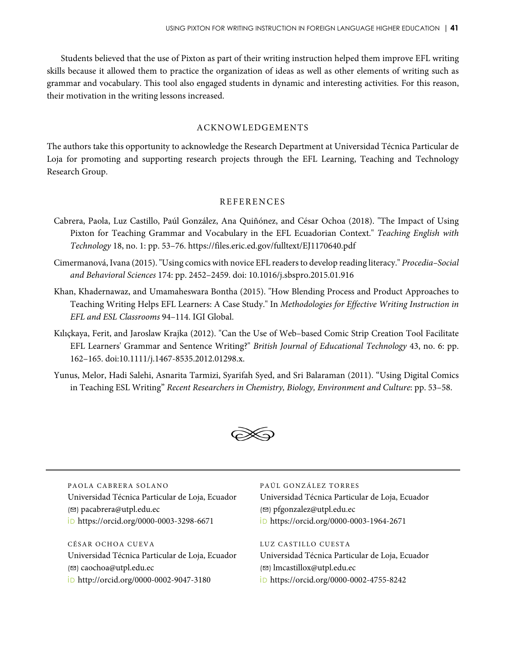Students believed that the use of Pixton as part of their writing instruction helped them improve EFL writing skills because it allowed them to practice the organization of ideas as well as other elements of writing such as grammar and vocabulary. This tool also engaged students in dynamic and interesting activities. For this reason, their motivation in the writing lessons increased.

## ACKNOWLEDGEMENTS

The authors take this opportunity to acknowledge the Research Department at Universidad Técnica Particular de Loja for promoting and supporting research projects through the EFL Learning, Teaching and Technology Research Group.

## REFERENCES

- Cabrera, Paola, Luz Castillo, Paúl González, Ana Quiñónez, and César Ochoa (2018). "The Impact of Using Pixton for Teaching Grammar and Vocabulary in the EFL Ecuadorian Context." *Teaching English with Technology* 18, no. 1: pp. 53–76. https://files.eric.ed.gov/fulltext/EJ1170640.pdf
- Cimermanová, Ivana (2015). "Using comics with novice EFL readers to develop reading literacy." *Procedia–Social and Behavioral Sciences* 174: pp. 2452–2459. doi: 10.1016/j.sbspro.2015.01.916
- Khan, Khadernawaz, and Umamaheswara Bontha (2015). "How Blending Process and Product Approaches to Teaching Writing Helps EFL Learners: A Case Study." In *Methodologies for Effective Writing Instruction in EFL and ESL Classrooms* 94–114. IGI Global.
- Kılıçkaya, Ferit, and Jaroslaw Krajka (2012). "Can the Use of Web–based Comic Strip Creation Tool Facilitate EFL Learners' Grammar and Sentence Writing?" *British Journal of Educational Technology* 43, no. 6: pp. 162–165. doi:10.1111/j.1467-8535.2012.01298.x.
- Yunus, Melor, Hadi Salehi, Asnarita Tarmizi, Syarifah Syed, and Sri Balaraman (2011). "Using Digital Comics in Teaching ESL Writing" *Recent Researchers in Chemistry, Biology, Environment and Culture*: pp. 53–58.



PAOLA CABRERA SOLANO Universidad Técnica Particular de Loja, Ecuador (✉) pacabrera@utpl.edu.ec iD https://orcid.org/0000-0003-3298-6671

CÉSAR OCHOA CUEVA Universidad Técnica Particular de Loja, Ecuador (✉) caochoa@utpl.edu.ec iD http://orcid.org/0000-0002-9047-3180

PAÚL GONZÁLEZ TORRES

Universidad Técnica Particular de Loja, Ecuador (✉) pfgonzalez@utpl.edu.ec iD https://orcid.org/0000-0003-1964-2671

LUZ CASTILLO CUESTA Universidad Técnica Particular de Loja, Ecuador (✉) lmcastillox@utpl.edu.ec iD https://orcid.org/0000-0002-4755-8242